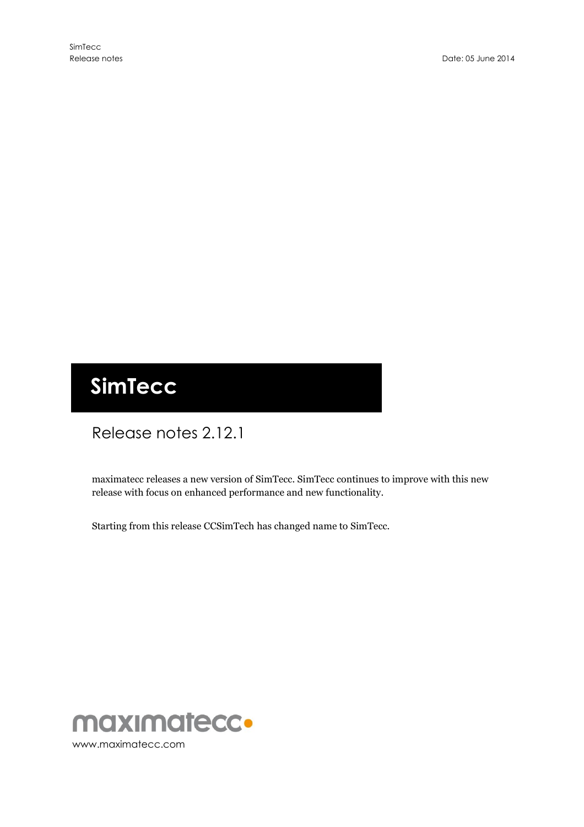# **SimTecc**

# Release notes 2.12.1

maximatecc releases a new version of SimTecc. SimTecc continues to improve with this new release with focus on enhanced performance and new functionality.

Starting from this release CCSimTech has changed name to SimTecc.

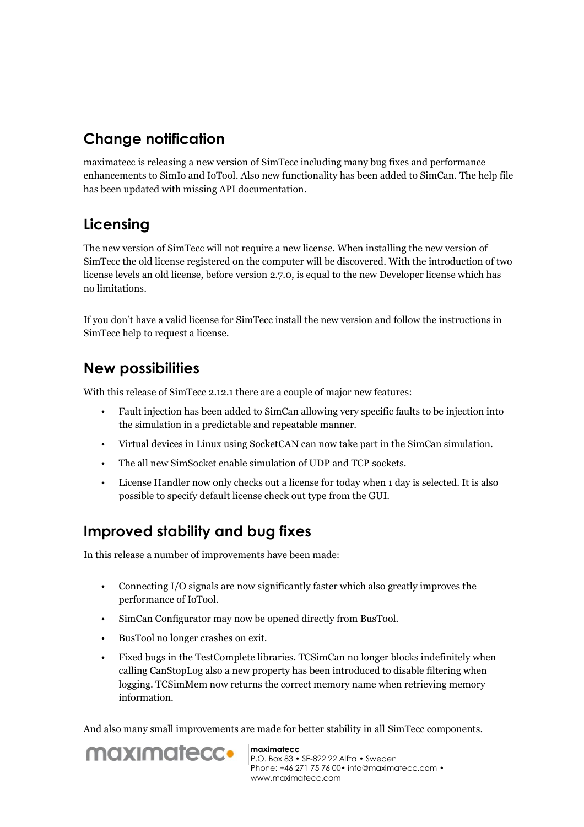## **Change notification**

maximatecc is releasing a new version of SimTecc including many bug fixes and performance enhancements to SimIo and IoTool. Also new functionality has been added to SimCan. The help file has been updated with missing API documentation.

# **Licensing**

The new version of SimTecc will not require a new license. When installing the new version of SimTecc the old license registered on the computer will be discovered. With the introduction of two license levels an old license, before version 2.7.0, is equal to the new Developer license which has no limitations.

If you don't have a valid license for SimTecc install the new version and follow the instructions in SimTecc help to request a license.

#### **New possibilities**

With this release of SimTecc 2.12.1 there are a couple of major new features:

- Fault injection has been added to SimCan allowing very specific faults to be injection into the simulation in a predictable and repeatable manner.
- Virtual devices in Linux using SocketCAN can now take part in the SimCan simulation.
- The all new SimSocket enable simulation of UDP and TCP sockets.
- License Handler now only checks out a license for today when 1 day is selected. It is also possible to specify default license check out type from the GUI.

# **Improved stability and bug fixes**

In this release a number of improvements have been made:

- Connecting I/O signals are now significantly faster which also greatly improves the performance of IoTool.
- SimCan Configurator may now be opened directly from BusTool.
- BusTool no longer crashes on exit.
- Fixed bugs in the TestComplete libraries. TCSimCan no longer blocks indefinitely when calling CanStopLog also a new property has been introduced to disable filtering when logging. TCSimMem now returns the correct memory name when retrieving memory information.

And also many small improvements are made for better stability in all SimTecc components.



**maximatecc** P.O. Box 83 • SE-822 22 Alfta • Sweden Phone: +46 271 75 76 00• info@maximatecc.com • www.maximatecc.com